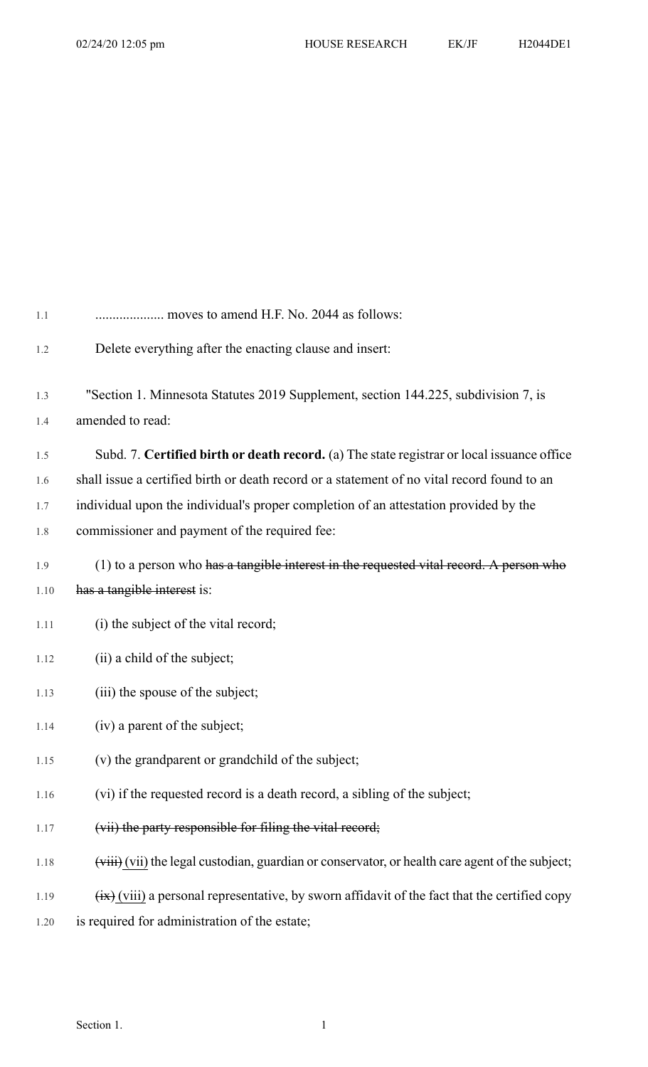| 1.1  | moves to amend H.F. No. 2044 as follows:                                                                       |
|------|----------------------------------------------------------------------------------------------------------------|
| 1.2  | Delete everything after the enacting clause and insert:                                                        |
|      |                                                                                                                |
| 1.3  | "Section 1. Minnesota Statutes 2019 Supplement, section 144.225, subdivision 7, is                             |
| 1.4  | amended to read:                                                                                               |
| 1.5  | Subd. 7. Certified birth or death record. (a) The state registrar or local issuance office                     |
| 1.6  | shall issue a certified birth or death record or a statement of no vital record found to an                    |
| 1.7  | individual upon the individual's proper completion of an attestation provided by the                           |
| 1.8  | commissioner and payment of the required fee:                                                                  |
| 1.9  | (1) to a person who has a tangible interest in the requested vital record. A person who                        |
| 1.10 | has a tangible interest is:                                                                                    |
| 1.11 | (i) the subject of the vital record;                                                                           |
| 1.12 | (ii) a child of the subject;                                                                                   |
| 1.13 | (iii) the spouse of the subject;                                                                               |
| 1.14 | (iv) a parent of the subject;                                                                                  |
| 1.15 | (v) the grandparent or grandchild of the subject;                                                              |
| 1.16 | (vi) if the requested record is a death record, a sibling of the subject;                                      |
| 1.17 | (vii) the party responsible for filing the vital record;                                                       |
| 1.18 | (viii) (vii) the legal custodian, guardian or conservator, or health care agent of the subject;                |
| 1.19 | $\overrightarrow{xx}$ (viii) a personal representative, by sworn affidavit of the fact that the certified copy |
| 1.20 | is required for administration of the estate;                                                                  |